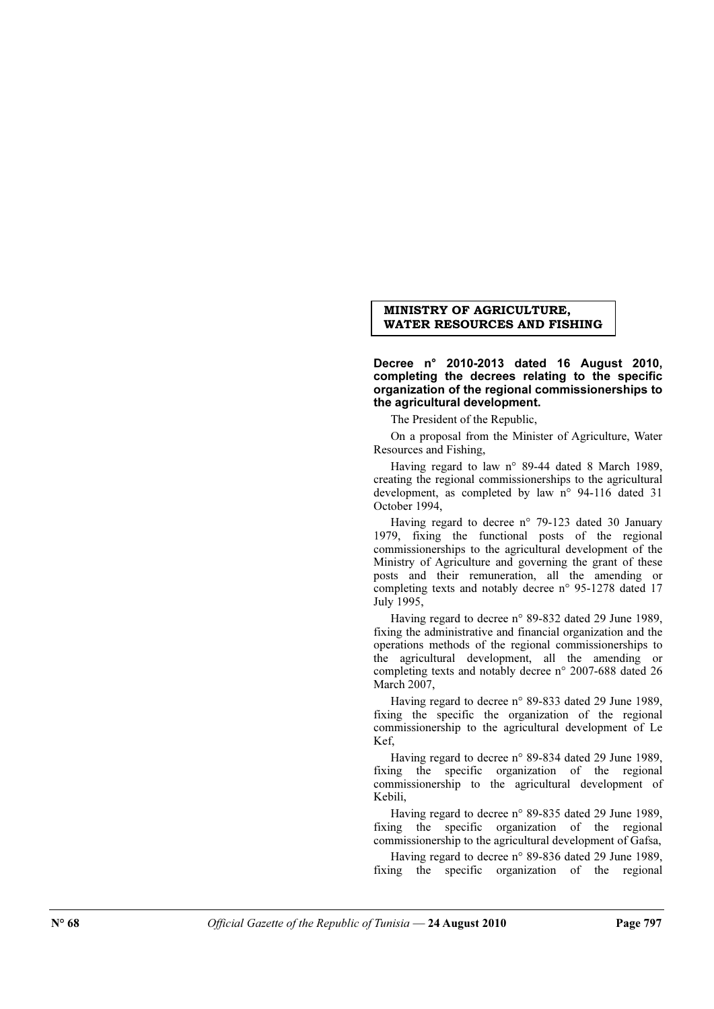## MINISTRY OF AGRICULTURE, WATER RESOURCES AND FISHING

Decree n° 2010-2013 dated 16 August 2010, completing the decrees relating to the specific organization of the regional commissionerships to the agricultural development.

The President of the Republic,

On a proposal from the Minister of Agriculture, Water Resources and Fishing,

Having regard to law n° 89-44 dated 8 March 1989, creating the regional commissionerships to the agricultural development, as completed by law n° 94-116 dated 31 October 1994,

Having regard to decree n° 79-123 dated 30 January 1979, fixing the functional posts of the regional commissionerships to the agricultural development of the Ministry of Agriculture and governing the grant of these posts and their remuneration, all the amending or completing texts and notably decree n° 95-1278 dated 17 July 1995,

Having regard to decree n° 89-832 dated 29 June 1989, fixing the administrative and financial organization and the operations methods of the regional commissionerships to the agricultural development, all the amending or completing texts and notably decree n° 2007-688 dated 26 March 2007,

Having regard to decree n° 89-833 dated 29 June 1989, fixing the specific the organization of the regional commissionership to the agricultural development of Le K<sub>ef</sub>

Having regard to decree n° 89-834 dated 29 June 1989, fixing the specific organization of the regional commissionership to the agricultural development of Kebili,

Having regard to decree n° 89-835 dated 29 June 1989, fixing the specific organization of the regional commissionership to the agricultural development of Gafsa,

Having regard to decree n° 89-836 dated 29 June 1989, fixing the specific organization of the regional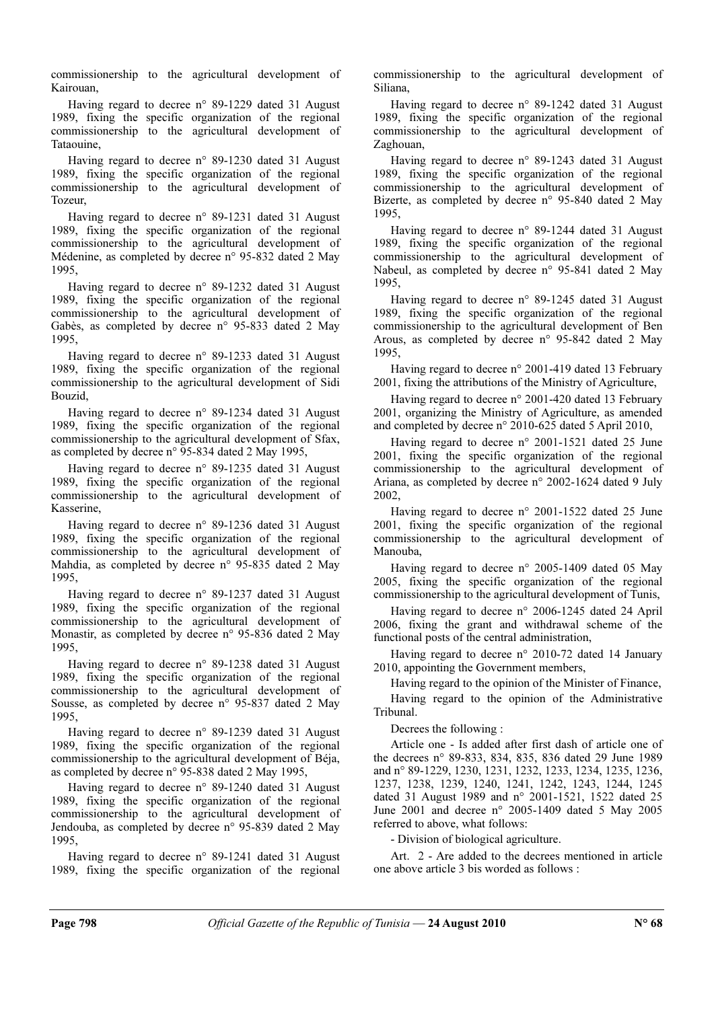commissionership to the agricultural development of Kairouan,

Having regard to decree n° 89-1229 dated 31 August 1989, fixing the specific organization of the regional commissionership to the agricultural development of Tataouine,

Having regard to decree n° 89-1230 dated 31 August 1989, fixing the specific organization of the regional commissionership to the agricultural development of Tozeur,

Having regard to decree n° 89-1231 dated 31 August 1989, fixing the specific organization of the regional commissionership to the agricultural development of Médenine, as completed by decree n° 95-832 dated 2 May 1995,

Having regard to decree n° 89-1232 dated 31 August 1989, fixing the specific organization of the regional commissionership to the agricultural development of Gabès, as completed by decree n° 95-833 dated 2 May 1995,

Having regard to decree n° 89-1233 dated 31 August 1989, fixing the specific organization of the regional commissionership to the agricultural development of Sidi Bouzid,

Having regard to decree n° 89-1234 dated 31 August 1989, fixing the specific organization of the regional commissionership to the agricultural development of Sfax, as completed by decree n° 95-834 dated 2 May 1995,

Having regard to decree n° 89-1235 dated 31 August 1989, fixing the specific organization of the regional commissionership to the agricultural development of Kasserine,

Having regard to decree n° 89-1236 dated 31 August 1989, fixing the specific organization of the regional commissionership to the agricultural development of Mahdia, as completed by decree n° 95-835 dated 2 May 1995,

Having regard to decree n° 89-1237 dated 31 August 1989, fixing the specific organization of the regional commissionership to the agricultural development of Monastir, as completed by decree n° 95-836 dated 2 May 1995,

Having regard to decree n° 89-1238 dated 31 August 1989, fixing the specific organization of the regional commissionership to the agricultural development of Sousse, as completed by decree n° 95-837 dated 2 May 1995,

Having regard to decree n° 89-1239 dated 31 August 1989, fixing the specific organization of the regional commissionership to the agricultural development of Béja, as completed by decree n° 95-838 dated 2 May 1995,

Having regard to decree n° 89-1240 dated 31 August 1989, fixing the specific organization of the regional commissionership to the agricultural development of Jendouba, as completed by decree n° 95-839 dated 2 May 1995,

Having regard to decree n° 89-1241 dated 31 August 1989, fixing the specific organization of the regional commissionership to the agricultural development of Siliana,

Having regard to decree n° 89-1242 dated 31 August 1989, fixing the specific organization of the regional commissionership to the agricultural development of Zaghouan,

Having regard to decree n° 89-1243 dated 31 August 1989, fixing the specific organization of the regional commissionership to the agricultural development of Bizerte, as completed by decree n° 95-840 dated 2 May 1995,

Having regard to decree n° 89-1244 dated 31 August 1989, fixing the specific organization of the regional commissionership to the agricultural development of Nabeul, as completed by decree n° 95-841 dated 2 May 1995,

Having regard to decree n° 89-1245 dated 31 August 1989, fixing the specific organization of the regional commissionership to the agricultural development of Ben Arous, as completed by decree n° 95-842 dated 2 May 1995,

Having regard to decree n° 2001-419 dated 13 February 2001, fixing the attributions of the Ministry of Agriculture,

Having regard to decree n° 2001-420 dated 13 February 2001, organizing the Ministry of Agriculture, as amended and completed by decree n° 2010-625 dated 5 April 2010,

Having regard to decree n° 2001-1521 dated 25 June 2001, fixing the specific organization of the regional commissionership to the agricultural development of Ariana, as completed by decree n° 2002-1624 dated 9 July 2002,

Having regard to decree n° 2001-1522 dated 25 June 2001, fixing the specific organization of the regional commissionership to the agricultural development of Manouba,

Having regard to decree  $n^{\circ}$  2005-1409 dated 05 May 2005, fixing the specific organization of the regional commissionership to the agricultural development of Tunis,

Having regard to decree n° 2006-1245 dated 24 April 2006, fixing the grant and withdrawal scheme of the functional posts of the central administration,

Having regard to decree n° 2010-72 dated 14 January 2010, appointing the Government members,

Having regard to the opinion of the Minister of Finance,

Having regard to the opinion of the Administrative Tribunal.

Decrees the following :

Article one - Is added after first dash of article one of the decrees n° 89-833, 834, 835, 836 dated 29 June 1989 and n° 89-1229, 1230, 1231, 1232, 1233, 1234, 1235, 1236, 1237, 1238, 1239, 1240, 1241, 1242, 1243, 1244, 1245 dated 31 August 1989 and n° 2001-1521, 1522 dated 25 June 2001 and decree n° 2005-1409 dated 5 May 2005 referred to above, what follows:

- Division of biological agriculture.

Art. 2 - Are added to the decrees mentioned in article one above article 3 bis worded as follows :